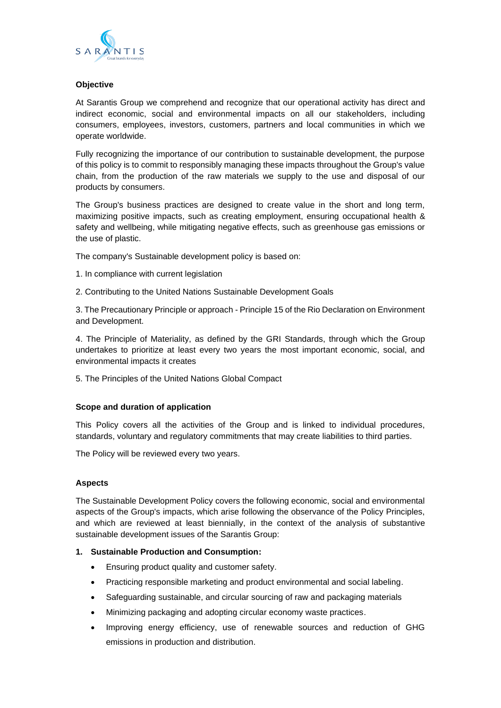

#### **Objective**

At Sarantis Group we comprehend and recognize that our operational activity has direct and indirect economic, social and environmental impacts on all our stakeholders, including consumers, employees, investors, customers, partners and local communities in which we operate worldwide.

Fully recognizing the importance of our contribution to sustainable development, the purpose of this policy is to commit to responsibly managing these impacts throughout the Group's value chain, from the production of the raw materials we supply to the use and disposal of our products by consumers.

The Group's business practices are designed to create value in the short and long term, maximizing positive impacts, such as creating employment, ensuring occupational health & safety and wellbeing, while mitigating negative effects, such as greenhouse gas emissions or the use of plastic.

The company's Sustainable development policy is based on:

- 1. In compliance with current legislation
- 2. Contributing to the United Nations Sustainable Development Goals

3. The Precautionary Principle or approach - Principle 15 of the Rio Declaration on Environment and Development.

4. The Principle of Materiality, as defined by the GRI Standards, through which the Group undertakes to prioritize at least every two years the most important economic, social, and environmental impacts it creates

5. The Principles of the United Nations Global Compact

#### **Scope and duration of application**

This Policy covers all the activities of the Group and is linked to individual procedures, standards, voluntary and regulatory commitments that may create liabilities to third parties.

The Policy will be reviewed every two years.

#### **Aspects**

The Sustainable Development Policy covers the following economic, social and environmental aspects of the Group's impacts, which arise following the observance of the Policy Principles, and which are reviewed at least biennially, in the context of the analysis of substantive sustainable development issues of the Sarantis Group:

## **1. Sustainable Production and Consumption:**

- Ensuring product quality and customer safety.
- Practicing responsible marketing and product environmental and social labeling.
- Safeguarding sustainable, and circular sourcing of raw and packaging materials
- Minimizing packaging and adopting circular economy waste practices.
- Improving energy efficiency, use of renewable sources and reduction of GHG emissions in production and distribution.